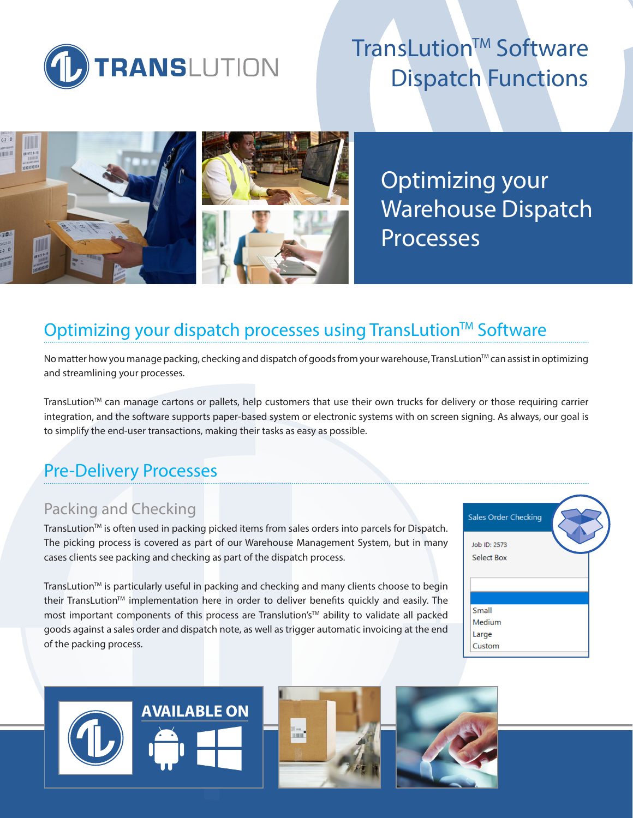

# TransLution™ Software Dispatch Functions



Optimizing your Warehouse Dispatch Processes

# Optimizing your dispatch processes using TransLution™ Software

No matter how you manage packing, checking and dispatch of goods from your warehouse, TransLution™ can assist in optimizing and streamlining your processes.

TransLution™ can manage cartons or pallets, help customers that use their own trucks for delivery or those requiring carrier integration, and the software supports paper-based system or electronic systems with on screen signing. As always, our goal is to simplify the end-user transactions, making their tasks as easy as possible.

# Pre-Delivery Processes

### Packing and Checking

TransLution<sup>™</sup> is often used in packing picked items from sales orders into parcels for Dispatch. The picking process is covered as part of our Warehouse Management System, but in many cases clients see packing and checking as part of the dispatch process.

TransLutionTM is particularly useful in packing and checking and many clients choose to begin their TransLution™ implementation here in order to deliver benefits quickly and easily. The most important components of this process are Translution's™ ability to validate all packed goods against a sales order and dispatch note, as well as trigger automatic invoicing at the end of the packing process.



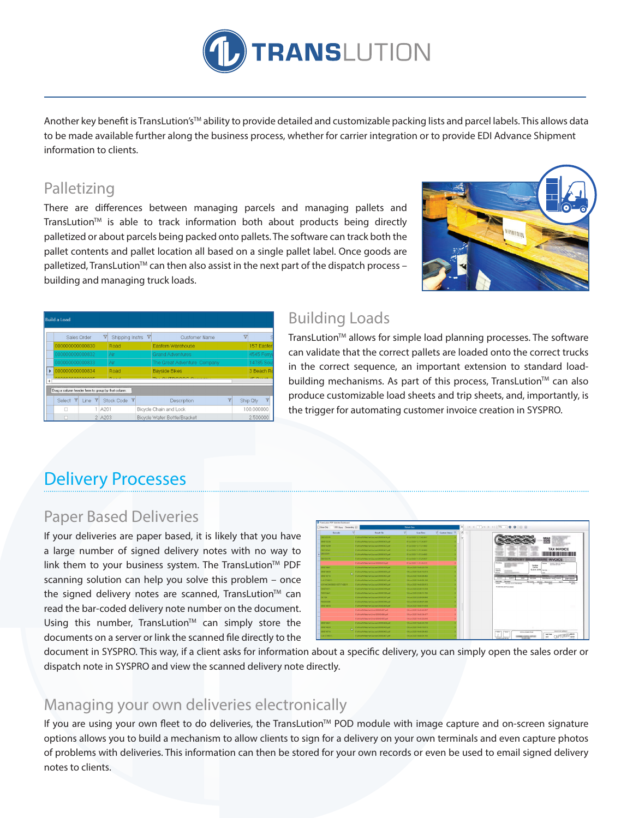

Another key benefit is TransLution's™ ability to provide detailed and customizable packing lists and parcel labels. This allows data to be made available further along the business process, whether for carrier integration or to provide EDI Advance Shipment information to clients.

### Palletizing

There are differences between managing parcels and managing pallets and TransLution<sup>™</sup> is able to track information both about products being directly palletized or about parcels being packed onto pallets. The software can track both the pallet contents and pallet location all based on a single pallet label. Once goods are palletized, TransLution™ can then also assist in the next part of the dispatch process – building and managing truck loads.



|   | <b>Build a Load</b>                                |                 |                 |                 |  |                              |                             |  |                     |                          |   |
|---|----------------------------------------------------|-----------------|-----------------|-----------------|--|------------------------------|-----------------------------|--|---------------------|--------------------------|---|
|   | Sales Order                                        |                 | $\triangledown$ | Shipping Instrs |  | $\triangledown$              | <b>Customer Name</b>        |  | $\overline{\nabla}$ |                          |   |
|   |                                                    | 000000000000830 |                 |                 |  |                              | <b>Eastern Warehouse</b>    |  |                     | 157 Faster               |   |
|   | 000000000000832                                    |                 |                 | Air             |  |                              | <b>Grand Adventures</b>     |  |                     | 4545 Ferry               |   |
|   |                                                    | 000000000000833 |                 |                 |  |                              | The Great Adventure Company |  |                     | 14785 Sou                |   |
| ь | 000000000000834                                    |                 |                 | Road            |  |                              | <b>Bayside Bikes</b>        |  |                     | 3 Beach Ro               |   |
|   | AAAAAAAAAAAAAAF                                    |                 |                 | <b>Distance</b> |  |                              | THE OUTDOOR OWNER           |  |                     | $AP$ $Q$ $Q$ $Q$ $Q$ $Q$ |   |
|   | Drag a column header here to group by that column. |                 |                 |                 |  |                              |                             |  |                     |                          |   |
|   | Select                                             | Line            |                 | Stock Code Y    |  |                              | Description                 |  |                     | Ship Qty                 | v |
|   |                                                    |                 | A201            |                 |  |                              | Bicycle Chain and Lock      |  |                     | 100 000000               |   |
|   |                                                    | 2 A203          |                 |                 |  | Bicycle Water Bottle/Bracket |                             |  | 2.500000            |                          |   |

### Building Loads

TransLution™ allows for simple load planning processes. The software can validate that the correct pallets are loaded onto the correct trucks in the correct sequence, an important extension to standard loadbuilding mechanisms. As part of this process, TransLution<sup>TM</sup> can also produce customizable load sheets and trip sheets, and, importantly, is the trigger for automating customer invoice creation in SYSPRO.

# Delivery Processes

### Paper Based Deliveries

If your deliveries are paper based, it is likely that you have a large number of signed delivery notes with no way to link them to your business system. The TransLution™ PDF scanning solution can help you solve this problem – once the signed delivery notes are scanned, TransLution™ can read the bar-coded delivery note number on the document. Using this number, TransLution<sup>™</sup> can simply store the documents on a server or link the scanned file directly to the



document in SYSPRO. This way, if a client asks for information about a specific delivery, you can simply open the sales order or dispatch note in SYSPRO and view the scanned delivery note directly.

### Managing your own deliveries electronically

If you are using your own fleet to do deliveries, the TransLution™ POD module with image capture and on-screen signature options allows you to build a mechanism to allow clients to sign for a delivery on your own terminals and even capture photos of problems with deliveries. This information can then be stored for your own records or even be used to email signed delivery notes to clients.